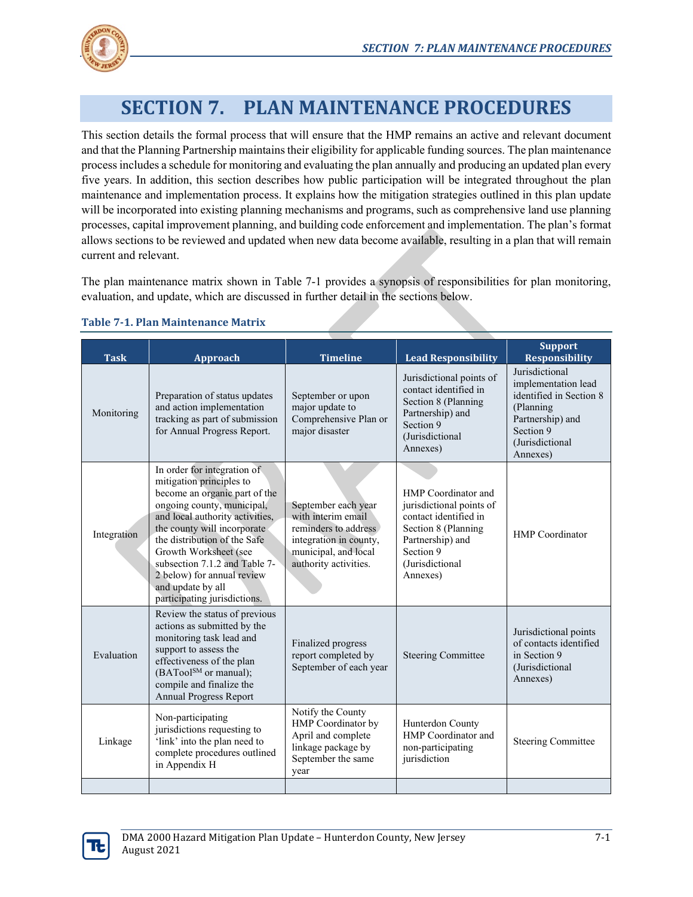

# **SECTION 7. PLAN MAINTENANCE PROCEDURES**

This section details the formal process that will ensure that the HMP remains an active and relevant document and that the Planning Partnership maintains their eligibility for applicable funding sources. The plan maintenance process includes a schedule for monitoring and evaluating the plan annually and producing an updated plan every five years. In addition, this section describes how public participation will be integrated throughout the plan maintenance and implementation process. It explains how the mitigation strategies outlined in this plan update will be incorporated into existing planning mechanisms and programs, such as comprehensive land use planning processes, capital improvement planning, and building code enforcement and implementation. The plan's format allows sections to be reviewed and updated when new data become available, resulting in a plan that will remain current and relevant.

The plan maintenance matrix shown in Table 7-1 provides a synopsis of responsibilities for plan monitoring, evaluation, and update, which are discussed in further detail in the sections below.

| <b>Task</b> | Approach                                                                                                                                                                                                                                                                                                                                                              | <b>Timeline</b>                                                                                                                              | <b>Lead Responsibility</b>                                                                                                                                      | <b>Support</b><br><b>Responsibility</b>                                                                                                       |
|-------------|-----------------------------------------------------------------------------------------------------------------------------------------------------------------------------------------------------------------------------------------------------------------------------------------------------------------------------------------------------------------------|----------------------------------------------------------------------------------------------------------------------------------------------|-----------------------------------------------------------------------------------------------------------------------------------------------------------------|-----------------------------------------------------------------------------------------------------------------------------------------------|
| Monitoring  | Preparation of status updates<br>and action implementation<br>tracking as part of submission<br>for Annual Progress Report.                                                                                                                                                                                                                                           | September or upon<br>major update to<br>Comprehensive Plan or<br>major disaster                                                              | Jurisdictional points of<br>contact identified in<br>Section 8 (Planning<br>Partnership) and<br>Section 9<br>(Jurisdictional)<br>Annexes)                       | Jurisdictional<br>implementation lead<br>identified in Section 8<br>(Planning<br>Partnership) and<br>Section 9<br>(Jurisdictional<br>Annexes) |
| Integration | In order for integration of<br>mitigation principles to<br>become an organic part of the<br>ongoing county, municipal,<br>and local authority activities,<br>the county will incorporate<br>the distribution of the Safe<br>Growth Worksheet (see<br>subsection 7.1.2 and Table 7-<br>2 below) for annual review<br>and update by all<br>participating jurisdictions. | September each year<br>with interim email<br>reminders to address<br>integration in county,<br>municipal, and local<br>authority activities. | HMP Coordinator and<br>jurisdictional points of<br>contact identified in<br>Section 8 (Planning<br>Partnership) and<br>Section 9<br>(Jurisdictional<br>Annexes) | <b>HMP</b> Coordinator                                                                                                                        |
| Evaluation  | Review the status of previous<br>actions as submitted by the<br>monitoring task lead and<br>support to assess the<br>effectiveness of the plan<br>(BATool <sup>SM</sup> or manual);<br>compile and finalize the<br><b>Annual Progress Report</b>                                                                                                                      | Finalized progress<br>report completed by<br>September of each year                                                                          | <b>Steering Committee</b>                                                                                                                                       | Jurisdictional points<br>of contacts identified<br>in Section 9<br>(Jurisdictional<br>Annexes)                                                |
| Linkage     | Non-participating<br>jurisdictions requesting to<br>'link' into the plan need to<br>complete procedures outlined<br>in Appendix H                                                                                                                                                                                                                                     | Notify the County<br>HMP Coordinator by<br>April and complete<br>linkage package by<br>September the same<br>year                            | Hunterdon County<br>HMP Coordinator and<br>non-participating<br>jurisdiction                                                                                    | <b>Steering Committee</b>                                                                                                                     |
|             |                                                                                                                                                                                                                                                                                                                                                                       |                                                                                                                                              |                                                                                                                                                                 |                                                                                                                                               |

#### **Table 7-1. Plan Maintenance Matrix**

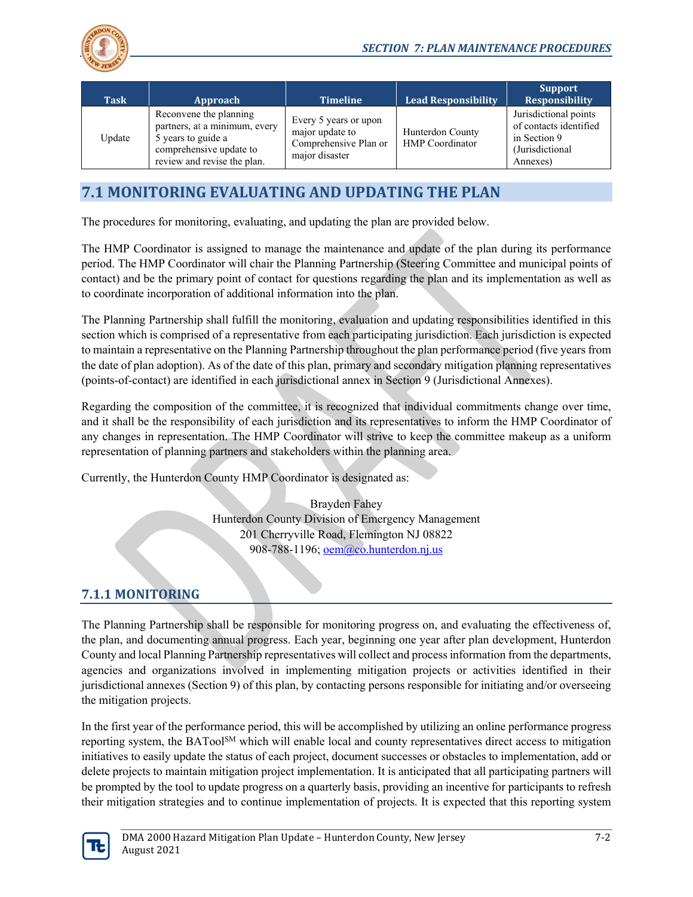

| <b>Task</b> | Approach                                                                                                                                | <b>Timeline</b>                                                                     | $\,$ Lead Responsibility $\,$              | <b>Support</b><br><b>Responsibility</b>                                                        |
|-------------|-----------------------------------------------------------------------------------------------------------------------------------------|-------------------------------------------------------------------------------------|--------------------------------------------|------------------------------------------------------------------------------------------------|
| Update      | Reconvene the planning<br>partners, at a minimum, every<br>5 years to guide a<br>comprehensive update to<br>review and revise the plan. | Every 5 years or upon<br>major update to<br>Comprehensive Plan or<br>major disaster | Hunterdon County<br><b>HMP</b> Coordinator | Jurisdictional points<br>of contacts identified<br>in Section 9<br>(Jurisdictional<br>Annexes) |

# **7.1 MONITORING EVALUATING AND UPDATING THE PLAN**

The procedures for monitoring, evaluating, and updating the plan are provided below.

The HMP Coordinator is assigned to manage the maintenance and update of the plan during its performance period. The HMP Coordinator will chair the Planning Partnership (Steering Committee and municipal points of contact) and be the primary point of contact for questions regarding the plan and its implementation as well as to coordinate incorporation of additional information into the plan.

The Planning Partnership shall fulfill the monitoring, evaluation and updating responsibilities identified in this section which is comprised of a representative from each participating jurisdiction. Each jurisdiction is expected to maintain a representative on the Planning Partnership throughout the plan performance period (five years from the date of plan adoption). As of the date of this plan, primary and secondary mitigation planning representatives (points-of-contact) are identified in each jurisdictional annex in Section 9 (Jurisdictional Annexes).

Regarding the composition of the committee, it is recognized that individual commitments change over time, and it shall be the responsibility of each jurisdiction and its representatives to inform the HMP Coordinator of any changes in representation. The HMP Coordinator will strive to keep the committee makeup as a uniform representation of planning partners and stakeholders within the planning area.

Currently, the Hunterdon County HMP Coordinator is designated as:

Brayden Fahey Hunterdon County Division of Emergency Management 201 Cherryville Road, Flemington NJ 08822 908-788-1196;  $oem@co.hunterdon.ni.us$ 

# **7.1.1 MONITORING**

The Planning Partnership shall be responsible for monitoring progress on, and evaluating the effectiveness of, the plan, and documenting annual progress. Each year, beginning one year after plan development, Hunterdon County and local Planning Partnership representatives will collect and process information from the departments, agencies and organizations involved in implementing mitigation projects or activities identified in their jurisdictional annexes (Section 9) of this plan, by contacting persons responsible for initiating and/or overseeing the mitigation projects.

In the first year of the performance period, this will be accomplished by utilizing an online performance progress reporting system, the BATool<sup>SM</sup> which will enable local and county representatives direct access to mitigation initiatives to easily update the status of each project, document successes or obstacles to implementation, add or delete projects to maintain mitigation project implementation. It is anticipated that all participating partners will be prompted by the tool to update progress on a quarterly basis, providing an incentive for participants to refresh their mitigation strategies and to continue implementation of projects. It is expected that this reporting system

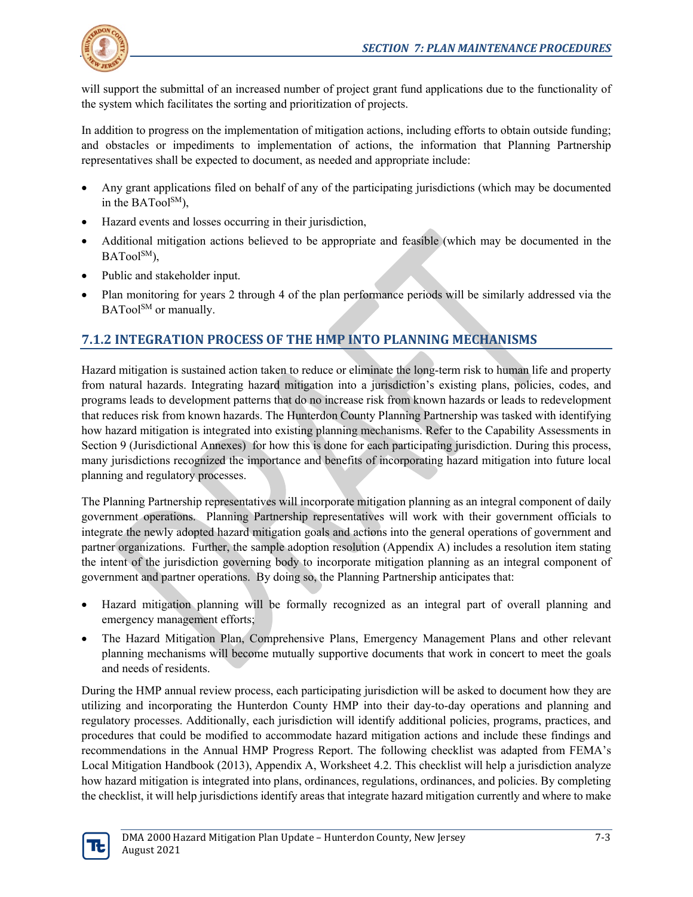

will support the submittal of an increased number of project grant fund applications due to the functionality of the system which facilitates the sorting and prioritization of projects.

In addition to progress on the implementation of mitigation actions, including efforts to obtain outside funding; and obstacles or impediments to implementation of actions, the information that Planning Partnership representatives shall be expected to document, as needed and appropriate include:

- Any grant applications filed on behalf of any of the participating jurisdictions (which may be documented in the BATool $\text{SM}$ ).
- Hazard events and losses occurring in their jurisdiction,
- Additional mitigation actions believed to be appropriate and feasible (which may be documented in the BATool<sup>SM</sup>),
- Public and stakeholder input.
- Plan monitoring for years 2 through 4 of the plan performance periods will be similarly addressed via the BATool<sup>SM</sup> or manually.

# **7.1.2 INTEGRATION PROCESS OF THE HMP INTO PLANNING MECHANISMS**

Hazard mitigation is sustained action taken to reduce or eliminate the long-term risk to human life and property from natural hazards. Integrating hazard mitigation into a jurisdiction's existing plans, policies, codes, and programs leads to development patterns that do no increase risk from known hazards or leads to redevelopment that reduces risk from known hazards. The Hunterdon County Planning Partnership was tasked with identifying how hazard mitigation is integrated into existing planning mechanisms. Refer to the Capability Assessments in Section 9 (Jurisdictional Annexes) for how this is done for each participating jurisdiction. During this process, many jurisdictions recognized the importance and benefits of incorporating hazard mitigation into future local planning and regulatory processes.

The Planning Partnership representatives will incorporate mitigation planning as an integral component of daily government operations. Planning Partnership representatives will work with their government officials to integrate the newly adopted hazard mitigation goals and actions into the general operations of government and partner organizations. Further, the sample adoption resolution (Appendix A) includes a resolution item stating the intent of the jurisdiction governing body to incorporate mitigation planning as an integral component of government and partner operations. By doing so, the Planning Partnership anticipates that:

- Hazard mitigation planning will be formally recognized as an integral part of overall planning and emergency management efforts;
- The Hazard Mitigation Plan, Comprehensive Plans, Emergency Management Plans and other relevant planning mechanisms will become mutually supportive documents that work in concert to meet the goals and needs of residents.

During the HMP annual review process, each participating jurisdiction will be asked to document how they are utilizing and incorporating the Hunterdon County HMP into their day-to-day operations and planning and regulatory processes. Additionally, each jurisdiction will identify additional policies, programs, practices, and procedures that could be modified to accommodate hazard mitigation actions and include these findings and recommendations in the Annual HMP Progress Report. The following checklist was adapted from FEMA's Local Mitigation Handbook (2013), Appendix A, Worksheet 4.2. This checklist will help a jurisdiction analyze how hazard mitigation is integrated into plans, ordinances, regulations, ordinances, and policies. By completing the checklist, it will help jurisdictions identify areas that integrate hazard mitigation currently and where to make

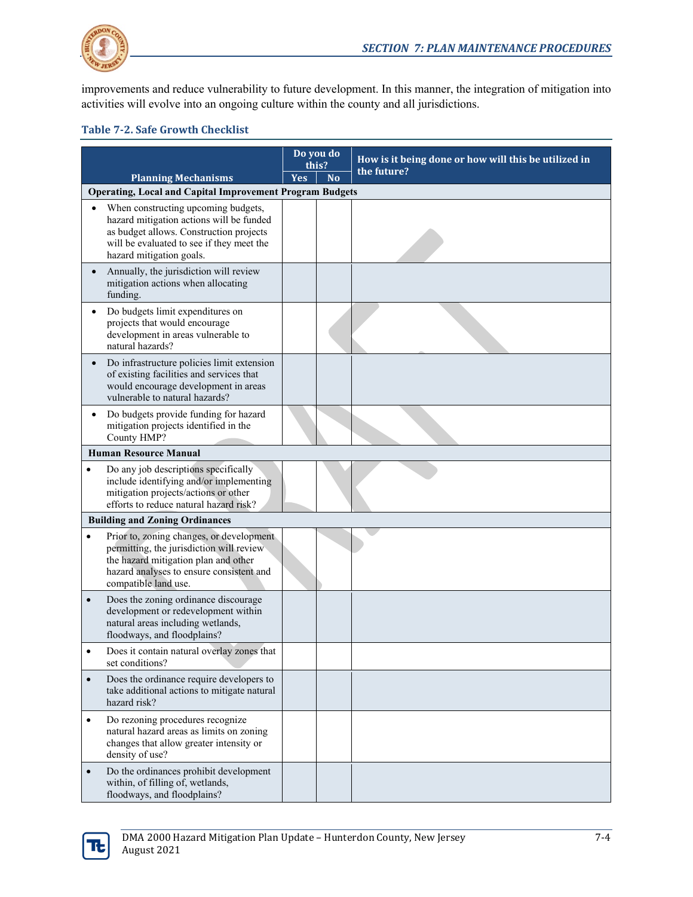

improvements and reduce vulnerability to future development. In this manner, the integration of mitigation into activities will evolve into an ongoing culture within the county and all jurisdictions.

#### **Table 7-2. Safe Growth Checklist**

|                                                                                                                                                                                                               | Do you do<br>this? |                | How is it being done or how will this be utilized in |  |
|---------------------------------------------------------------------------------------------------------------------------------------------------------------------------------------------------------------|--------------------|----------------|------------------------------------------------------|--|
| <b>Planning Mechanisms</b>                                                                                                                                                                                    | Yes                | N <sub>o</sub> | the future?                                          |  |
| <b>Operating, Local and Capital Improvement Program Budgets</b>                                                                                                                                               |                    |                |                                                      |  |
| When constructing upcoming budgets,<br>hazard mitigation actions will be funded<br>as budget allows. Construction projects<br>will be evaluated to see if they meet the<br>hazard mitigation goals.           |                    |                |                                                      |  |
| Annually, the jurisdiction will review<br>mitigation actions when allocating<br>funding.                                                                                                                      |                    |                |                                                      |  |
| Do budgets limit expenditures on<br>projects that would encourage<br>development in areas vulnerable to<br>natural hazards?                                                                                   |                    |                |                                                      |  |
| Do infrastructure policies limit extension<br>of existing facilities and services that<br>would encourage development in areas<br>vulnerable to natural hazards?                                              |                    |                |                                                      |  |
| Do budgets provide funding for hazard<br>mitigation projects identified in the<br>County HMP?                                                                                                                 |                    |                |                                                      |  |
| <b>Human Resource Manual</b>                                                                                                                                                                                  |                    |                |                                                      |  |
| Do any job descriptions specifically<br>$\bullet$<br>include identifying and/or implementing<br>mitigation projects/actions or other<br>efforts to reduce natural hazard risk?                                |                    |                |                                                      |  |
| <b>Building and Zoning Ordinances</b>                                                                                                                                                                         |                    |                |                                                      |  |
| Prior to, zoning changes, or development<br>$\bullet$<br>permitting, the jurisdiction will review<br>the hazard mitigation plan and other<br>hazard analyses to ensure consistent and<br>compatible land use. |                    |                |                                                      |  |
| Does the zoning ordinance discourage<br>$\bullet$<br>development or redevelopment within<br>natural areas including wetlands,<br>floodways, and floodplains?                                                  |                    |                |                                                      |  |
| Does it contain natural overlay zones that<br>set conditions?                                                                                                                                                 |                    |                |                                                      |  |
| Does the ordinance require developers to<br>$\bullet$<br>take additional actions to mitigate natural<br>hazard risk?                                                                                          |                    |                |                                                      |  |
| Do rezoning procedures recognize<br>$\bullet$<br>natural hazard areas as limits on zoning<br>changes that allow greater intensity or<br>density of use?                                                       |                    |                |                                                      |  |
| Do the ordinances prohibit development<br>$\bullet$<br>within, of filling of, wetlands,<br>floodways, and floodplains?                                                                                        |                    |                |                                                      |  |

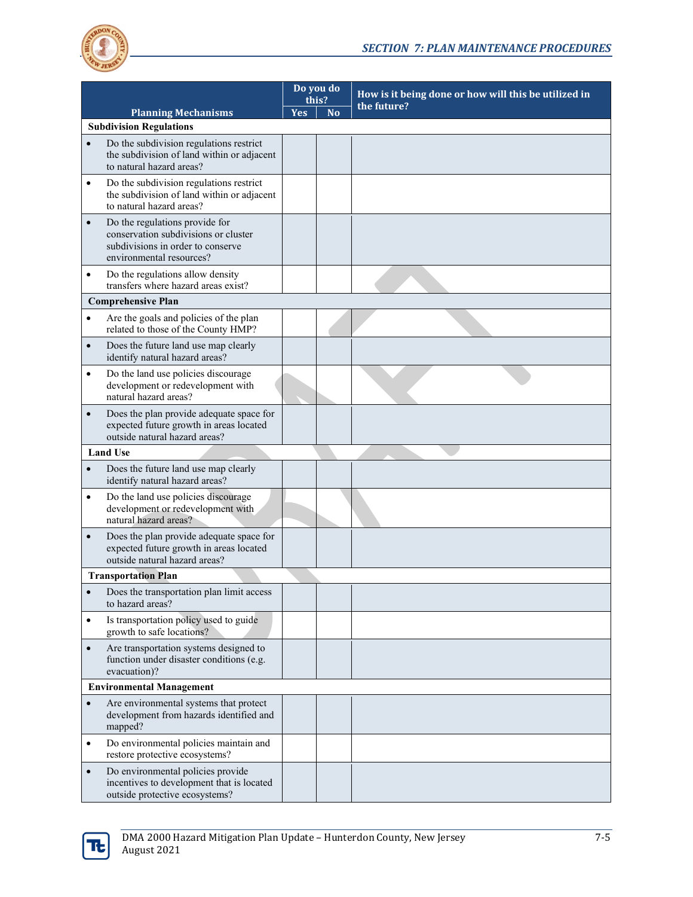

| <b>Planning Mechanisms</b>      |                                                                                                                                         | Do you do<br>this? |           | How is it being done or how will this be utilized in |
|---------------------------------|-----------------------------------------------------------------------------------------------------------------------------------------|--------------------|-----------|------------------------------------------------------|
|                                 |                                                                                                                                         | <b>Yes</b>         | <b>No</b> | the future?                                          |
|                                 | <b>Subdivision Regulations</b>                                                                                                          |                    |           |                                                      |
|                                 | Do the subdivision regulations restrict<br>the subdivision of land within or adjacent<br>to natural hazard areas?                       |                    |           |                                                      |
| $\bullet$                       | Do the subdivision regulations restrict<br>the subdivision of land within or adjacent<br>to natural hazard areas?                       |                    |           |                                                      |
| $\bullet$                       | Do the regulations provide for<br>conservation subdivisions or cluster<br>subdivisions in order to conserve<br>environmental resources? |                    |           |                                                      |
| $\bullet$                       | Do the regulations allow density<br>transfers where hazard areas exist?                                                                 |                    |           |                                                      |
|                                 | <b>Comprehensive Plan</b>                                                                                                               |                    |           |                                                      |
| $\bullet$                       | Are the goals and policies of the plan<br>related to those of the County HMP?                                                           |                    |           |                                                      |
| $\bullet$                       | Does the future land use map clearly<br>identify natural hazard areas?                                                                  |                    |           |                                                      |
| $\bullet$                       | Do the land use policies discourage<br>development or redevelopment with<br>natural hazard areas?                                       |                    |           |                                                      |
| $\bullet$                       | Does the plan provide adequate space for<br>expected future growth in areas located<br>outside natural hazard areas?                    |                    |           |                                                      |
|                                 | <b>Land Use</b>                                                                                                                         |                    |           |                                                      |
|                                 | Does the future land use map clearly<br>identify natural hazard areas?                                                                  |                    |           |                                                      |
| $\bullet$                       | Do the land use policies discourage<br>development or redevelopment with<br>natural hazard areas?                                       |                    |           |                                                      |
| $\bullet$                       | Does the plan provide adequate space for<br>expected future growth in areas located<br>outside natural hazard areas?                    |                    |           |                                                      |
|                                 | <b>Transportation Plan</b>                                                                                                              |                    |           |                                                      |
|                                 | Does the transportation plan limit access<br>to hazard areas?                                                                           |                    |           |                                                      |
| $\bullet$                       | Is transportation policy used to guide<br>growth to safe locations?                                                                     |                    |           |                                                      |
| $\bullet$                       | Are transportation systems designed to<br>function under disaster conditions (e.g.<br>evacuation)?                                      |                    |           |                                                      |
| <b>Environmental Management</b> |                                                                                                                                         |                    |           |                                                      |
| $\bullet$                       | Are environmental systems that protect<br>development from hazards identified and<br>mapped?                                            |                    |           |                                                      |
| $\bullet$                       | Do environmental policies maintain and<br>restore protective ecosystems?                                                                |                    |           |                                                      |
| $\bullet$                       | Do environmental policies provide<br>incentives to development that is located<br>outside protective ecosystems?                        |                    |           |                                                      |

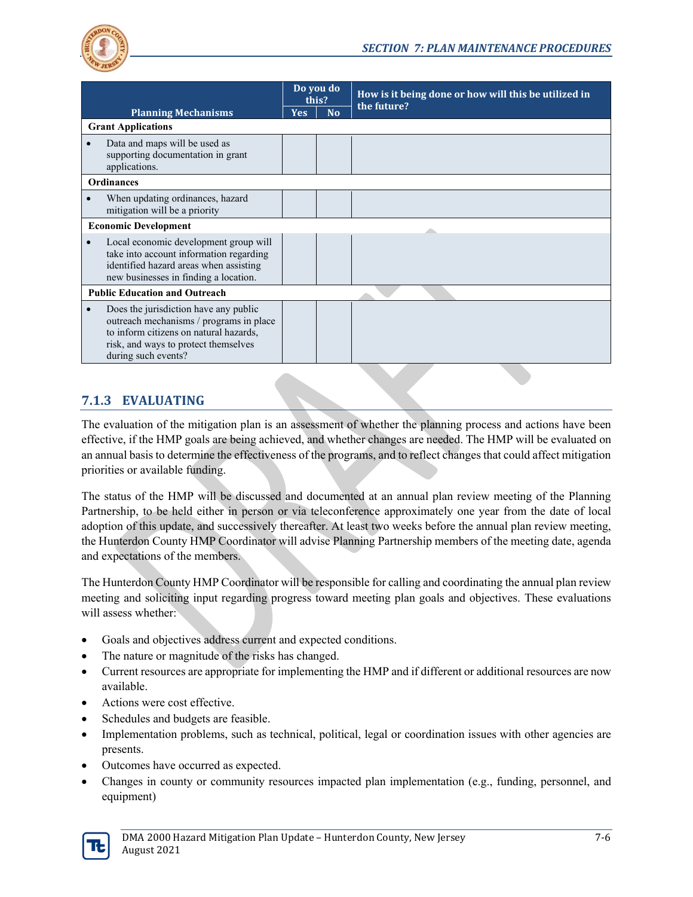

| <b>Planning Mechanisms</b>           |                                                                                                                                                                                           | Do you do<br>this? |                | How is it being done or how will this be utilized in<br>the future? |  |
|--------------------------------------|-------------------------------------------------------------------------------------------------------------------------------------------------------------------------------------------|--------------------|----------------|---------------------------------------------------------------------|--|
|                                      |                                                                                                                                                                                           | <b>Yes</b>         | N <sub>o</sub> |                                                                     |  |
|                                      | <b>Grant Applications</b>                                                                                                                                                                 |                    |                |                                                                     |  |
|                                      | Data and maps will be used as<br>supporting documentation in grant<br>applications.                                                                                                       |                    |                |                                                                     |  |
| <b>Ordinances</b>                    |                                                                                                                                                                                           |                    |                |                                                                     |  |
|                                      | When updating ordinances, hazard<br>mitigation will be a priority                                                                                                                         |                    |                |                                                                     |  |
| <b>Economic Development</b>          |                                                                                                                                                                                           |                    |                |                                                                     |  |
|                                      | Local economic development group will<br>take into account information regarding<br>identified hazard areas when assisting<br>new businesses in finding a location.                       |                    |                |                                                                     |  |
| <b>Public Education and Outreach</b> |                                                                                                                                                                                           |                    |                |                                                                     |  |
|                                      | Does the jurisdiction have any public<br>outreach mechanisms / programs in place<br>to inform citizens on natural hazards,<br>risk, and ways to protect themselves<br>during such events? |                    |                |                                                                     |  |

#### **7.1.3 EVALUATING**

The evaluation of the mitigation plan is an assessment of whether the planning process and actions have been effective, if the HMP goals are being achieved, and whether changes are needed. The HMP will be evaluated on an annual basis to determine the effectiveness of the programs, and to reflect changes that could affect mitigation priorities or available funding.

The status of the HMP will be discussed and documented at an annual plan review meeting of the Planning Partnership, to be held either in person or via teleconference approximately one year from the date of local adoption of this update, and successively thereafter. At least two weeks before the annual plan review meeting, the Hunterdon County HMP Coordinator will advise Planning Partnership members of the meeting date, agenda and expectations of the members.

The Hunterdon County HMP Coordinator will be responsible for calling and coordinating the annual plan review meeting and soliciting input regarding progress toward meeting plan goals and objectives. These evaluations will assess whether:

- Goals and objectives address current and expected conditions.
- The nature or magnitude of the risks has changed.
- Current resources are appropriate for implementing the HMP and if different or additional resources are now available.
- Actions were cost effective.
- Schedules and budgets are feasible.
- Implementation problems, such as technical, political, legal or coordination issues with other agencies are presents.
- Outcomes have occurred as expected.
- Changes in county or community resources impacted plan implementation (e.g., funding, personnel, and equipment)

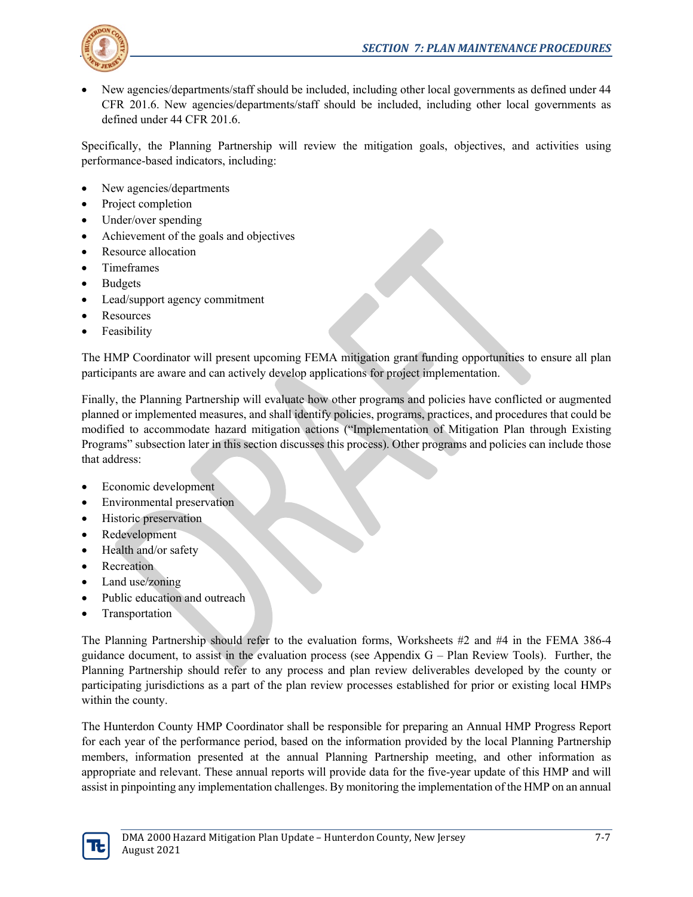

• New agencies/departments/staff should be included, including other local governments as defined under 44 CFR 201.6. New agencies/departments/staff should be included, including other local governments as defined under 44 CFR 201.6.

Specifically, the Planning Partnership will review the mitigation goals, objectives, and activities using performance-based indicators, including:

- New agencies/departments
- Project completion
- Under/over spending
- Achievement of the goals and objectives
- Resource allocation
- Timeframes
- **Budgets**
- Lead/support agency commitment
- Resources
- **Feasibility**

The HMP Coordinator will present upcoming FEMA mitigation grant funding opportunities to ensure all plan participants are aware and can actively develop applications for project implementation.

Finally, the Planning Partnership will evaluate how other programs and policies have conflicted or augmented planned or implemented measures, and shall identify policies, programs, practices, and procedures that could be modified to accommodate hazard mitigation actions ("Implementation of Mitigation Plan through Existing Programs" subsection later in this section discusses this process). Other programs and policies can include those that address:

- Economic development
- Environmental preservation
- Historic preservation
- Redevelopment
- Health and/or safety
- Recreation
- Land use/zoning
- Public education and outreach
- **Transportation**

The Planning Partnership should refer to the evaluation forms, Worksheets #2 and #4 in the FEMA 386-4 guidance document, to assist in the evaluation process (see Appendix G – Plan Review Tools). Further, the Planning Partnership should refer to any process and plan review deliverables developed by the county or participating jurisdictions as a part of the plan review processes established for prior or existing local HMPs within the county.

The Hunterdon County HMP Coordinator shall be responsible for preparing an Annual HMP Progress Report for each year of the performance period, based on the information provided by the local Planning Partnership members, information presented at the annual Planning Partnership meeting, and other information as appropriate and relevant. These annual reports will provide data for the five-year update of this HMP and will assist in pinpointing any implementation challenges. By monitoring the implementation of the HMP on an annual

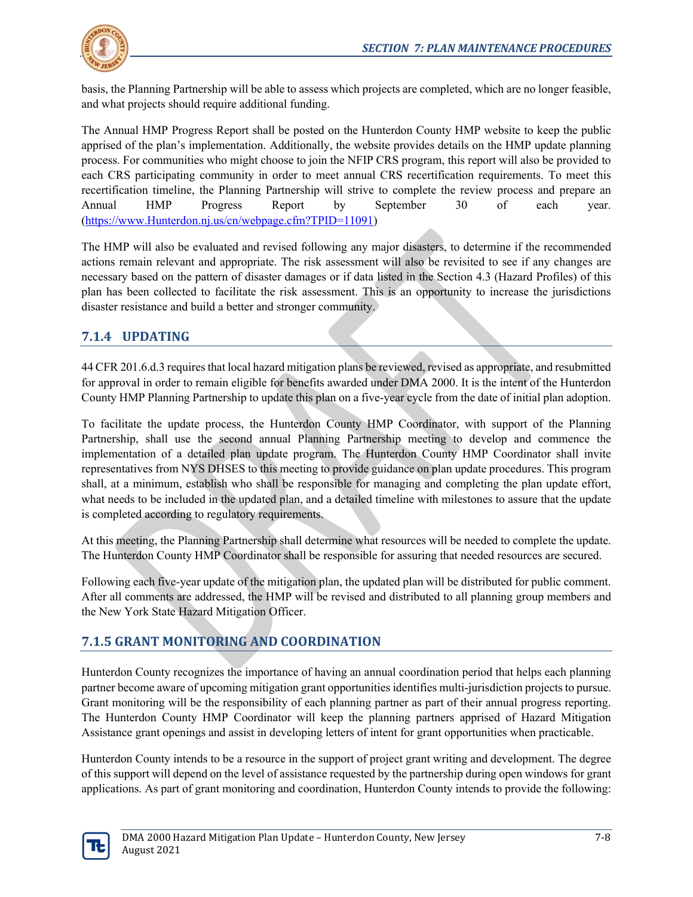

basis, the Planning Partnership will be able to assess which projects are completed, which are no longer feasible, and what projects should require additional funding.

The Annual HMP Progress Report shall be posted on the Hunterdon County HMP website to keep the public apprised of the plan's implementation. Additionally, the website provides details on the HMP update planning process. For communities who might choose to join the NFIP CRS program, this report will also be provided to each CRS participating community in order to meet annual CRS recertification requirements. To meet this recertification timeline, the Planning Partnership will strive to complete the review process and prepare an Annual HMP Progress Report by September 30 of each year. [\(https://www.Hunterdon.nj.us/cn/webpage.cfm?TPID=11091\)](https://www.sussex.nj.us/cn/webpage.cfm?TPID=11091)

The HMP will also be evaluated and revised following any major disasters, to determine if the recommended actions remain relevant and appropriate. The risk assessment will also be revisited to see if any changes are necessary based on the pattern of disaster damages or if data listed in the Section 4.3 (Hazard Profiles) of this plan has been collected to facilitate the risk assessment. This is an opportunity to increase the jurisdictions disaster resistance and build a better and stronger community.

# **7.1.4 UPDATING**

44 CFR 201.6.d.3 requires that local hazard mitigation plans be reviewed, revised as appropriate, and resubmitted for approval in order to remain eligible for benefits awarded under DMA 2000. It is the intent of the Hunterdon County HMP Planning Partnership to update this plan on a five-year cycle from the date of initial plan adoption.

To facilitate the update process, the Hunterdon County HMP Coordinator, with support of the Planning Partnership, shall use the second annual Planning Partnership meeting to develop and commence the implementation of a detailed plan update program. The Hunterdon County HMP Coordinator shall invite representatives from NYS DHSES to this meeting to provide guidance on plan update procedures. This program shall, at a minimum, establish who shall be responsible for managing and completing the plan update effort, what needs to be included in the updated plan, and a detailed timeline with milestones to assure that the update is completed according to regulatory requirements.

At this meeting, the Planning Partnership shall determine what resources will be needed to complete the update. The Hunterdon County HMP Coordinator shall be responsible for assuring that needed resources are secured.

Following each five-year update of the mitigation plan, the updated plan will be distributed for public comment. After all comments are addressed, the HMP will be revised and distributed to all planning group members and the New York State Hazard Mitigation Officer.

# **7.1.5 GRANT MONITORING AND COORDINATION**

Hunterdon County recognizes the importance of having an annual coordination period that helps each planning partner become aware of upcoming mitigation grant opportunities identifies multi-jurisdiction projects to pursue. Grant monitoring will be the responsibility of each planning partner as part of their annual progress reporting. The Hunterdon County HMP Coordinator will keep the planning partners apprised of Hazard Mitigation Assistance grant openings and assist in developing letters of intent for grant opportunities when practicable.

Hunterdon County intends to be a resource in the support of project grant writing and development. The degree of this support will depend on the level of assistance requested by the partnership during open windows for grant applications. As part of grant monitoring and coordination, Hunterdon County intends to provide the following:

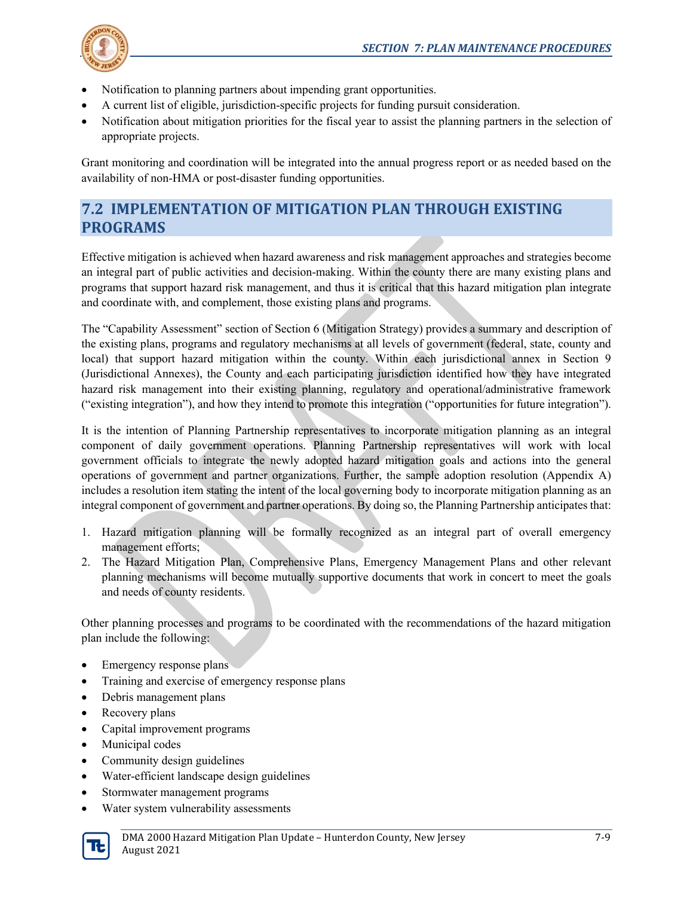

- Notification to planning partners about impending grant opportunities.
- A current list of eligible, jurisdiction-specific projects for funding pursuit consideration.
- Notification about mitigation priorities for the fiscal year to assist the planning partners in the selection of appropriate projects.

Grant monitoring and coordination will be integrated into the annual progress report or as needed based on the availability of non-HMA or post-disaster funding opportunities.

# **7.2 IMPLEMENTATION OF MITIGATION PLAN THROUGH EXISTING PROGRAMS**

Effective mitigation is achieved when hazard awareness and risk management approaches and strategies become an integral part of public activities and decision-making. Within the county there are many existing plans and programs that support hazard risk management, and thus it is critical that this hazard mitigation plan integrate and coordinate with, and complement, those existing plans and programs.

The "Capability Assessment" section of Section 6 (Mitigation Strategy) provides a summary and description of the existing plans, programs and regulatory mechanisms at all levels of government (federal, state, county and local) that support hazard mitigation within the county. Within each jurisdictional annex in Section 9 (Jurisdictional Annexes), the County and each participating jurisdiction identified how they have integrated hazard risk management into their existing planning, regulatory and operational/administrative framework ("existing integration"), and how they intend to promote this integration ("opportunities for future integration").

It is the intention of Planning Partnership representatives to incorporate mitigation planning as an integral component of daily government operations. Planning Partnership representatives will work with local government officials to integrate the newly adopted hazard mitigation goals and actions into the general operations of government and partner organizations. Further, the sample adoption resolution (Appendix A) includes a resolution item stating the intent of the local governing body to incorporate mitigation planning as an integral component of government and partner operations. By doing so, the Planning Partnership anticipates that:

- 1. Hazard mitigation planning will be formally recognized as an integral part of overall emergency management efforts;
- 2. The Hazard Mitigation Plan, Comprehensive Plans, Emergency Management Plans and other relevant planning mechanisms will become mutually supportive documents that work in concert to meet the goals and needs of county residents.

Other planning processes and programs to be coordinated with the recommendations of the hazard mitigation plan include the following:

- Emergency response plans
- Training and exercise of emergency response plans
- Debris management plans
- Recovery plans
- Capital improvement programs
- Municipal codes
- Community design guidelines
- Water-efficient landscape design guidelines
- Stormwater management programs
- Water system vulnerability assessments

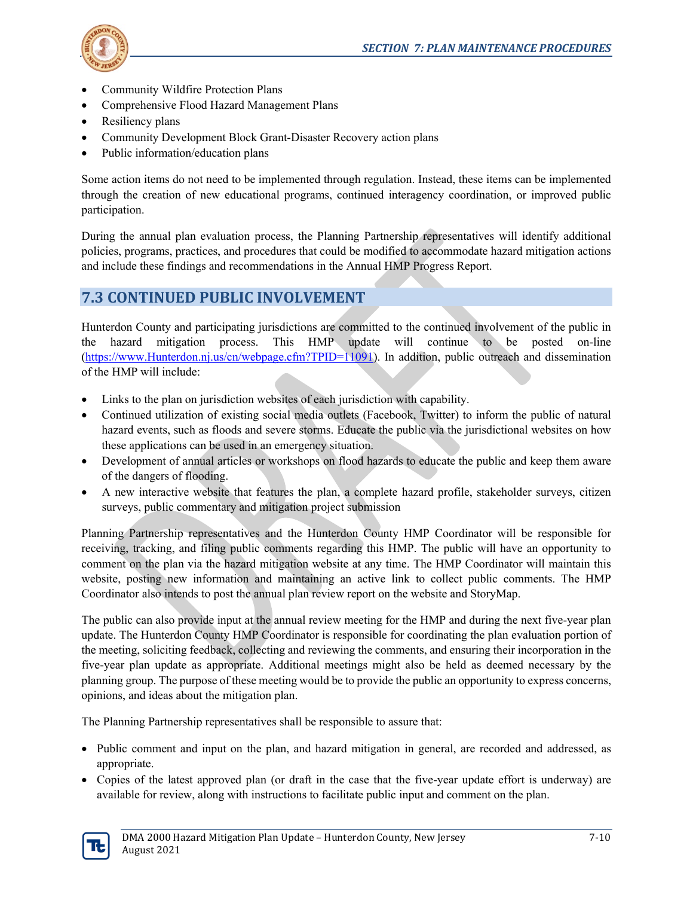

- Community Wildfire Protection Plans
- Comprehensive Flood Hazard Management Plans
- Resiliency plans
- Community Development Block Grant-Disaster Recovery action plans
- Public information/education plans

Some action items do not need to be implemented through regulation. Instead, these items can be implemented through the creation of new educational programs, continued interagency coordination, or improved public participation.

During the annual plan evaluation process, the Planning Partnership representatives will identify additional policies, programs, practices, and procedures that could be modified to accommodate hazard mitigation actions and include these findings and recommendations in the Annual HMP Progress Report.

### **7.3 CONTINUED PUBLIC INVOLVEMENT**

Hunterdon County and participating jurisdictions are committed to the continued involvement of the public in the hazard mitigation process. This HMP update will continue to be posted on-line [\(https://www.Hunterdon.nj.us/cn/webpage.cfm?TPID=11091\)](https://www.sussex.nj.us/cn/webpage.cfm?TPID=11091). In addition, public outreach and dissemination of the HMP will include:

- Links to the plan on jurisdiction websites of each jurisdiction with capability.
- Continued utilization of existing social media outlets (Facebook, Twitter) to inform the public of natural hazard events, such as floods and severe storms. Educate the public via the jurisdictional websites on how these applications can be used in an emergency situation.
- Development of annual articles or workshops on flood hazards to educate the public and keep them aware of the dangers of flooding.
- A new interactive website that features the plan, a complete hazard profile, stakeholder surveys, citizen surveys, public commentary and mitigation project submission

Planning Partnership representatives and the Hunterdon County HMP Coordinator will be responsible for receiving, tracking, and filing public comments regarding this HMP. The public will have an opportunity to comment on the plan via the hazard mitigation website at any time. The HMP Coordinator will maintain this website, posting new information and maintaining an active link to collect public comments. The HMP Coordinator also intends to post the annual plan review report on the website and StoryMap.

The public can also provide input at the annual review meeting for the HMP and during the next five-year plan update. The Hunterdon County HMP Coordinator is responsible for coordinating the plan evaluation portion of the meeting, soliciting feedback, collecting and reviewing the comments, and ensuring their incorporation in the five-year plan update as appropriate. Additional meetings might also be held as deemed necessary by the planning group. The purpose of these meeting would be to provide the public an opportunity to express concerns, opinions, and ideas about the mitigation plan.

The Planning Partnership representatives shall be responsible to assure that:

- Public comment and input on the plan, and hazard mitigation in general, are recorded and addressed, as appropriate.
- Copies of the latest approved plan (or draft in the case that the five-year update effort is underway) are available for review, along with instructions to facilitate public input and comment on the plan.

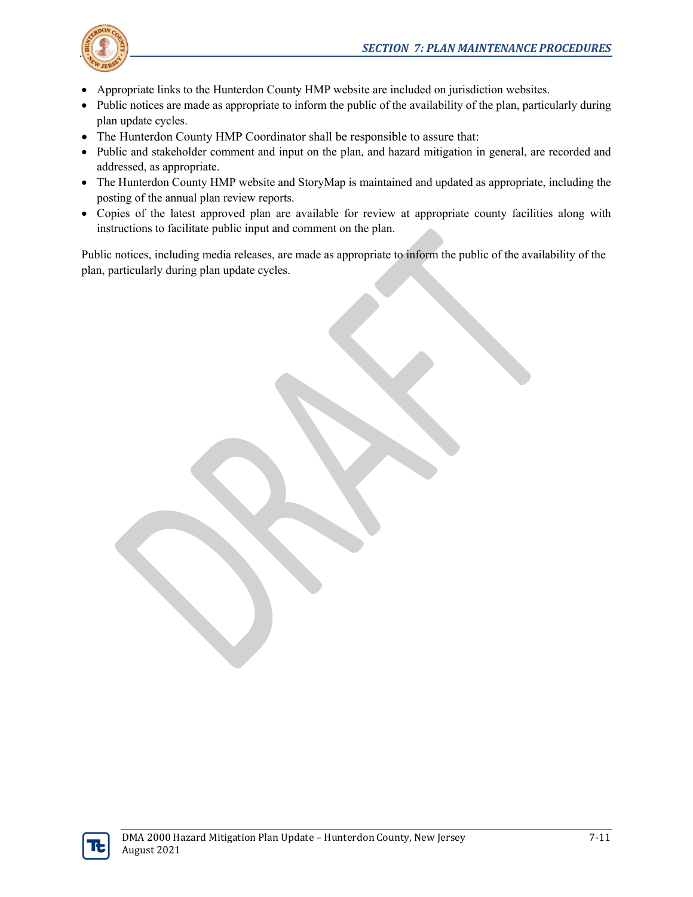

- Appropriate links to the Hunterdon County HMP website are included on jurisdiction websites.
- Public notices are made as appropriate to inform the public of the availability of the plan, particularly during plan update cycles.
- The Hunterdon County HMP Coordinator shall be responsible to assure that:
- Public and stakeholder comment and input on the plan, and hazard mitigation in general, are recorded and addressed, as appropriate.
- The Hunterdon County HMP website and StoryMap is maintained and updated as appropriate, including the posting of the annual plan review reports.
- Copies of the latest approved plan are available for review at appropriate county facilities along with instructions to facilitate public input and comment on the plan.

Public notices, including media releases, are made as appropriate to inform the public of the availability of the plan, particularly during plan update cycles.